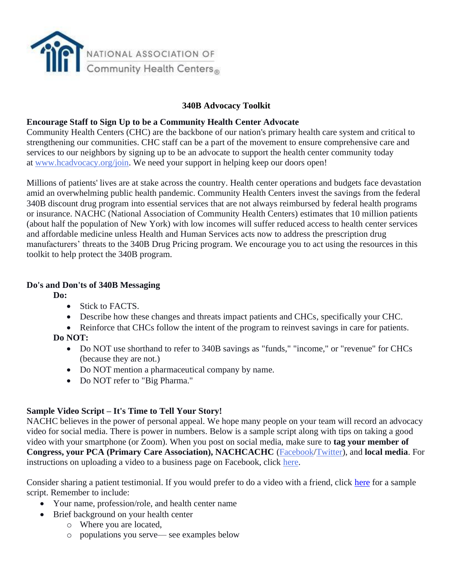

## **340B Advocacy Toolkit**

#### **Encourage Staff to Sign Up to be a Community Health Center Advocate**

Community Health Centers (CHC) are the backbone of our nation's primary health care system and critical to strengthening our communities. CHC staff can be a part of the movement to ensure comprehensive care and services to our neighbors by signing up to be an advocate to support the health center community today at [www.hcadvocacy.org/join.](http://www.hcadvocacy.org/join) We need your support in helping keep our doors open!

Millions of patients' lives are at stake across the country. Health center operations and budgets face devastation amid an overwhelming public health pandemic. Community Health Centers invest the savings from the federal 340B discount drug program into essential services that are not always reimbursed by federal health programs or insurance. NACHC (National Association of Community Health Centers) estimates that 10 million patients (about half the population of New York) with low incomes will suffer reduced access to health center services and affordable medicine unless Health and Human Services acts now to address the prescription drug manufacturers' threats to the 340B Drug Pricing program. We encourage you to act using the resources in this toolkit to help protect the 340B program.

#### **Do's and Don'ts of 340B Messaging**

**Do:**

- Stick to FACTS.
- Describe how these changes and threats impact patients and CHCs, specifically your CHC.
- Reinforce that CHCs follow the intent of the program to reinvest savings in care for patients. **Do NOT:**
	- Do NOT use shorthand to refer to 340B savings as "funds," "income," or "revenue" for CHCs (because they are not.)
	- Do NOT mention a pharmaceutical company by name.
	- Do NOT refer to "Big Pharma."

#### **Sample Video Script – It's Time to Tell Your Story!**

NACHC believes in the power of personal appeal. We hope many people on your team will record an advocacy video for social media. There is power in numbers. Below is a sample script along with tips on taking a good video with your smartphone (or Zoom). When you post on social media, make sure to **tag your member of Congress, your PCA (Primary Care Association), NACHCACHC** [\(Facebook/](https://www.facebook.com/HCAdvocacy/)[Twitter\)](https://twitter.com/hcadvocacy), and **local media**. For instructions on uploading a video to a business page on Facebook, click [here.](https://www.facebook.com/business/help/163131210928551?id=214359809769375)

Consider sharing a patient testimonial. If you would prefer to do a video with a friend, click [here](https://wsd-nachc-sparkinfluence.s3.amazonaws.com/uploads/2021/03/Pharmacist-Script-FINAL.docx) for a sample script. Remember to include:

- Your name, profession/role, and health center name
- Brief background on your health center
	- o Where you are located,
	- o populations you serve— see examples below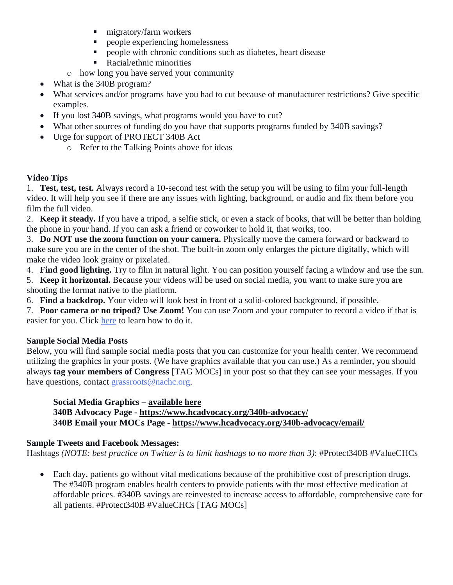- **•** migratory/farm workers
- people experiencing homelessness
- people with chronic conditions such as diabetes, heart disease
- Racial/ethnic minorities
- o how long you have served your community
- What is the 340B program?
- What services and/or programs have you had to cut because of manufacturer restrictions? Give specific examples.
- If you lost 340B savings, what programs would you have to cut?
- What other sources of funding do you have that supports programs funded by 340B savings?
- Urge for support of PROTECT 340B Act
	- o Refer to the Talking Points above for ideas

# **Video Tips**

1. **Test, test, test.** Always record a 10-second test with the setup you will be using to film your full-length video. It will help you see if there are any issues with lighting, background, or audio and fix them before you film the full video.

2. **Keep it steady.** If you have a tripod, a selfie stick, or even a stack of books, that will be better than holding the phone in your hand. If you can ask a friend or coworker to hold it, that works, too.

3. **Do NOT use the zoom function on your camera.** Physically move the camera forward or backward to make sure you are in the center of the shot. The built-in zoom only enlarges the picture digitally, which will make the video look grainy or pixelated.

4. **Find good lighting.** Try to film in natural light. You can position yourself facing a window and use the sun.

- 5. **Keep it horizontal.** Because your videos will be used on social media, you want to make sure you are shooting the format native to the platform.
- 6. **Find a backdrop.** Your video will look best in front of a solid-colored background, if possible.

7. **Poor camera or no tripod? Use Zoom!** You can use Zoom and your computer to record a video if that is easier for you. Click [here](https://www.businessinsider.com/how-to-record-zoom-meeting) to learn how to do it.

# **Sample Social Media Posts**

Below, you will find sample social media posts that you can customize for your health center. We recommend utilizing the graphics in your posts. (We have graphics available that you can use.) As a reminder, you should always **tag your members of Congress** [TAG MOCs] in your post so that they can see your messages. If you have questions, contact [grassroots@nachc.org.](mailto:grassroots@nachc.org)

# **Social Media Graphics – [available here](https://drive.google.com/drive/folders/1iTSjqKuw3l5ERKw_LBDslZI8eOOl_h55?usp=sharing)**

**340B Advocacy Page - <https://www.hcadvocacy.org/340b-advocacy/> 340B Email your MOCs Page - <https://www.hcadvocacy.org/340b-advocacy/email/>**

# **Sample Tweets and Facebook Messages:**

Hashtags *(NOTE: best practice on Twitter is to limit hashtags to no more than 3)*: #Protect340B #ValueCHCs

• Each day, patients go without vital medications because of the prohibitive cost of prescription drugs. The #340B program enables health centers to provide patients with the most effective medication at affordable prices. #340B savings are reinvested to increase access to affordable, comprehensive care for all patients. #Protect340B #ValueCHCs [TAG MOCs]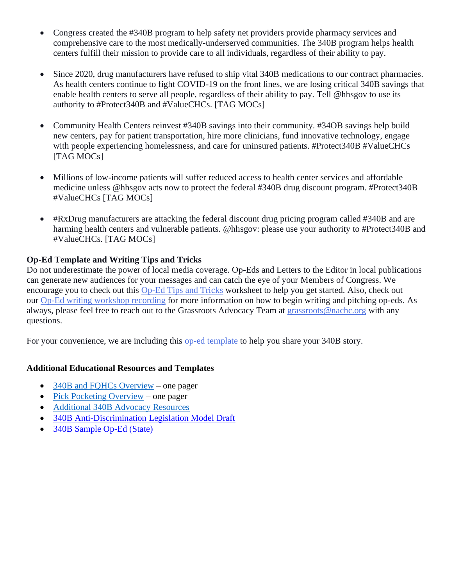- Congress created the #340B program to help safety net providers provide pharmacy services and comprehensive care to the most medically-underserved communities. The 340B program helps health centers fulfill their mission to provide care to all individuals, regardless of their ability to pay.
- Since 2020, drug manufacturers have refused to ship vital 340B medications to our contract pharmacies. As health centers continue to fight COVID-19 on the front lines, we are losing critical 340B savings that enable health centers to serve all people, regardless of their ability to pay. Tell @hhsgov to use its authority to #Protect340B and #ValueCHCs. [TAG MOCs]
- Community Health Centers reinvest #340B savings into their community. #34OB savings help build new centers, pay for patient transportation, hire more clinicians, fund innovative technology, engage with people experiencing homelessness, and care for uninsured patients. #Protect340B #ValueCHCs [TAG MOCs]
- Millions of low-income patients will suffer reduced access to health center services and affordable medicine unless @hhsgov acts now to protect the federal #340B drug discount program. #Protect340B #ValueCHCs [TAG MOCs]
- #RxDrug manufacturers are attacking the federal discount drug pricing program called #340B and are harming health centers and vulnerable patients. @hhsgov: please use your authority to #Protect340B and #ValueCHCs. [TAG MOCs]

# **Op-Ed Template and Writing Tips and Tricks**

Do not underestimate the power of local media coverage. Op-Eds and Letters to the Editor in local publications can generate new audiences for your messages and can catch the eye of your Members of Congress. We encourage you to check out this [Op-Ed Tips and Tricks](https://wsd-nachc-sparkinfluence.s3.amazonaws.com/uploads/2020/05/OpEd-LTE-Tips-and-Tricks_May-2020.pdf) worksheet to help you get started. Also, check out our [Op-Ed writing workshop recording](https://drive.google.com/file/d/1cC_cAEkofR7DoimLc7sP1R7Ntmb2E18B/view) for more information on how to begin writing and pitching op-eds. As always, please feel free to reach out to the Grassroots Advocacy Team at [grassroots@nachc.org](mailto:grassroots@nachc.org) with any questions.

For your convenience, we are including this [op-ed template](https://wsd-nachc-sparkinfluence.s3.amazonaws.com/uploads/2020/09/340boped-9-11-20.docx) to help you share your 340B story.

#### **Additional Educational Resources and Templates**

- [340B and FQHCs Overview](https://wsd-nachc-sparkinfluence.s3.amazonaws.com/uploads/2020/10/340B___FQHCs_-_101_one-pager_-_9-28-20.docx) one pager
- [Pick Pocketing Overview](https://wsd-nachc-sparkinfluence.s3.amazonaws.com/uploads/2020/10/340B_Pick-Pocketing_one-pager_-_9-28-20.docx) one pager
- [Additional 340B Advocacy Resources](https://www.hcadvocacy.org/340b-advocacy/)
- [340B Anti-Discrimination Legislation Model Draft](https://www.dropbox.com/s/krc0ypuhgm8s23j/340B%20Anti-Discrimination%20Legislation%20Model%20Draft.pdf?dl=0)
- [340B Sample Op-Ed \(State\)](https://www.dropbox.com/s/78xelgf8kt85yiu/340B%20Sample%20Op-Ed%20%28State%29.pdf?dl=0)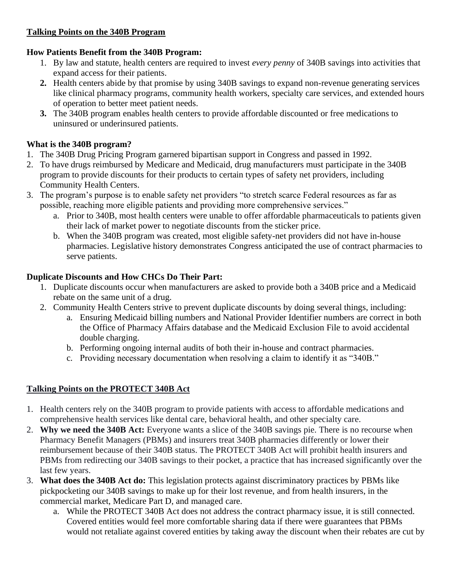## **Talking Points on the 340B Program**

#### **How Patients Benefit from the 340B Program:**

- 1. By law and statute, health centers are required to invest *every penny* of 340B savings into activities that expand access for their patients.
- **2.** Health centers abide by that promise by using 340B savings to expand non-revenue generating services like clinical pharmacy programs, community health workers, specialty care services, and extended hours of operation to better meet patient needs.
- **3.** The 340B program enables health centers to provide affordable discounted or free medications to uninsured or underinsured patients.

## **What is the 340B program?**

- 1. The 340B Drug Pricing Program garnered bipartisan support in Congress and passed in 1992.
- 2. To have drugs reimbursed by Medicare and Medicaid, drug manufacturers must participate in the 340B program to provide discounts for their products to certain types of safety net providers, including Community Health Centers.
- 3. The program's purpose is to enable safety net providers "to stretch scarce Federal resources as far as possible, reaching more eligible patients and providing more comprehensive services."
	- a. Prior to 340B, most health centers were unable to offer affordable pharmaceuticals to patients given their lack of market power to negotiate discounts from the sticker price.
	- b. When the 340B program was created, most eligible safety-net providers did not have in-house pharmacies. Legislative history demonstrates Congress anticipated the use of contract pharmacies to serve patients.

## **Duplicate Discounts and How CHCs Do Their Part:**

- 1. Duplicate discounts occur when manufacturers are asked to provide both a 340B price and a Medicaid rebate on the same unit of a drug.
- 2. Community Health Centers strive to prevent duplicate discounts by doing several things, including:
	- a. Ensuring Medicaid billing numbers and National Provider Identifier numbers are correct in both the Office of Pharmacy Affairs database and the Medicaid Exclusion File to avoid accidental double charging.
	- b. Performing ongoing internal audits of both their in-house and contract pharmacies.
	- c. Providing necessary documentation when resolving a claim to identify it as "340B."

# **Talking Points on the PROTECT 340B Act**

- 1. Health centers rely on the 340B program to provide patients with access to affordable medications and comprehensive health services like dental care, behavioral health, and other specialty care.
- 2. **Why we need the 340B Act:** Everyone wants a slice of the 340B savings pie. There is no recourse when Pharmacy Benefit Managers (PBMs) and insurers treat 340B pharmacies differently or lower their reimbursement because of their 340B status. The PROTECT 340B Act will prohibit health insurers and PBMs from redirecting our 340B savings to their pocket, a practice that has increased significantly over the last few years.
- 3. **What does the 340B Act do:** This legislation protects against discriminatory practices by PBMs like pickpocketing our 340B savings to make up for their lost revenue, and from health insurers, in the commercial market, Medicare Part D, and managed care.
	- a. While the PROTECT 340B Act does not address the contract pharmacy issue, it is still connected. Covered entities would feel more comfortable sharing data if there were guarantees that PBMs would not retaliate against covered entities by taking away the discount when their rebates are cut by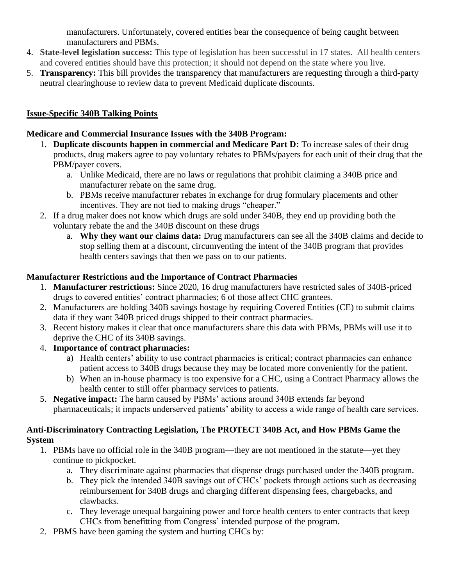manufacturers. Unfortunately, covered entities bear the consequence of being caught between manufacturers and PBMs.

- 4. **State-level legislation success:** This type of legislation has been successful in 17 states. All health centers and covered entities should have this protection; it should not depend on the state where you live.
- 5. **Transparency:** This bill provides the transparency that manufacturers are requesting through a third-party neutral clearinghouse to review data to prevent Medicaid duplicate discounts.

# **Issue-Specific 340B Talking Points**

# **Medicare and Commercial Insurance Issues with the 340B Program:**

- 1. **Duplicate discounts happen in commercial and Medicare Part D:** To increase sales of their drug products, drug makers agree to pay voluntary rebates to PBMs/payers for each unit of their drug that the PBM/payer covers.
	- a. Unlike Medicaid, there are no laws or regulations that prohibit claiming a 340B price and manufacturer rebate on the same drug.
	- b. PBMs receive manufacturer rebates in exchange for drug formulary placements and other incentives. They are not tied to making drugs "cheaper."
- 2. If a drug maker does not know which drugs are sold under 340B, they end up providing both the voluntary rebate the and the 340B discount on these drugs
	- a. **Why they want our claims data:** Drug manufacturers can see all the 340B claims and decide to stop selling them at a discount, circumventing the intent of the 340B program that provides health centers savings that then we pass on to our patients.

# **Manufacturer Restrictions and the Importance of Contract Pharmacies**

- 1. **Manufacturer restrictions:** Since 2020, 16 drug manufacturers have restricted sales of 340B-priced drugs to covered entities' contract pharmacies; 6 of those affect CHC grantees.
- 2. Manufacturers are holding 340B savings hostage by requiring Covered Entities (CE) to submit claims data if they want 340B priced drugs shipped to their contract pharmacies.
- 3. Recent history makes it clear that once manufacturers share this data with PBMs, PBMs will use it to deprive the CHC of its 340B savings.
- 4. **Importance of contract pharmacies:** 
	- a) Health centers' ability to use contract pharmacies is critical; contract pharmacies can enhance patient access to 340B drugs because they may be located more conveniently for the patient.
	- b) When an in-house pharmacy is too expensive for a CHC, using a Contract Pharmacy allows the health center to still offer pharmacy services to patients.
- 5. **Negative impact:** The harm caused by PBMs' actions around 340B extends far beyond pharmaceuticals; it impacts underserved patients' ability to access a wide range of health care services.

# **Anti-Discriminatory Contracting Legislation, The PROTECT 340B Act, and How PBMs Game the System**

- 1. PBMs have no official role in the 340B program—they are not mentioned in the statute—yet they continue to pickpocket.
	- a. They discriminate against pharmacies that dispense drugs purchased under the 340B program.
	- b. They pick the intended 340B savings out of CHCs' pockets through actions such as decreasing reimbursement for 340B drugs and charging different dispensing fees, chargebacks, and clawbacks.
	- c. They leverage unequal bargaining power and force health centers to enter contracts that keep CHCs from benefitting from Congress' intended purpose of the program.
- 2. PBMS have been gaming the system and hurting CHCs by: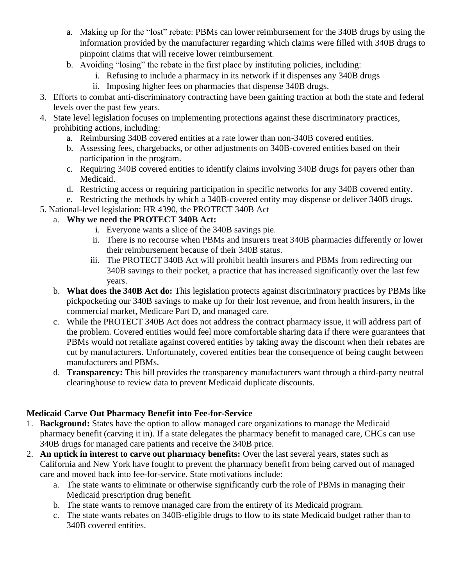- a. Making up for the "lost" rebate: PBMs can lower reimbursement for the 340B drugs by using the information provided by the manufacturer regarding which claims were filled with 340B drugs to pinpoint claims that will receive lower reimbursement.
- b. Avoiding "losing" the rebate in the first place by instituting policies, including:
	- i. Refusing to include a pharmacy in its network if it dispenses any 340B drugs
	- ii. Imposing higher fees on pharmacies that dispense 340B drugs.
- 3. Efforts to combat anti-discriminatory contracting have been gaining traction at both the state and federal levels over the past few years.
- 4. State level legislation focuses on implementing protections against these discriminatory practices, prohibiting actions, including:
	- a. Reimbursing 340B covered entities at a rate lower than non-340B covered entities.
	- b. Assessing fees, chargebacks, or other adjustments on 340B-covered entities based on their participation in the program.
	- c. Requiring 340B covered entities to identify claims involving 340B drugs for payers other than Medicaid.
	- d. Restricting access or requiring participation in specific networks for any 340B covered entity.
	- e. Restricting the methods by which a 340B-covered entity may dispense or deliver 340B drugs.
- 5. National-level legislation: HR 4390, the PROTECT 340B Act

## a. **Why we need the PROTECT 340B Act:**

- i. Everyone wants a slice of the 340B savings pie.
- ii. There is no recourse when PBMs and insurers treat 340B pharmacies differently or lower their reimbursement because of their 340B status.
- iii. The PROTECT 340B Act will prohibit health insurers and PBMs from redirecting our 340B savings to their pocket, a practice that has increased significantly over the last few years.
- b. **What does the 340B Act do:** This legislation protects against discriminatory practices by PBMs like pickpocketing our 340B savings to make up for their lost revenue, and from health insurers, in the commercial market, Medicare Part D, and managed care.
- c. While the PROTECT 340B Act does not address the contract pharmacy issue, it will address part of the problem. Covered entities would feel more comfortable sharing data if there were guarantees that PBMs would not retaliate against covered entities by taking away the discount when their rebates are cut by manufacturers. Unfortunately, covered entities bear the consequence of being caught between manufacturers and PBMs.
- d. **Transparency:** This bill provides the transparency manufacturers want through a third-party neutral clearinghouse to review data to prevent Medicaid duplicate discounts.

# **Medicaid Carve Out Pharmacy Benefit into Fee-for-Service**

- 1. **Background:** States have the option to allow managed care organizations to manage the Medicaid pharmacy benefit (carving it in). If a state delegates the pharmacy benefit to managed care, CHCs can use 340B drugs for managed care patients and receive the 340B price.
- 2. **An uptick in interest to carve out pharmacy benefits:** Over the last several years, states such as California and New York have fought to prevent the pharmacy benefit from being carved out of managed care and moved back into fee-for-service. State motivations include:
	- a. The state wants to eliminate or otherwise significantly curb the role of PBMs in managing their Medicaid prescription drug benefit.
	- b. The state wants to remove managed care from the entirety of its Medicaid program.
	- c. The state wants rebates on 340B-eligible drugs to flow to its state Medicaid budget rather than to 340B covered entities.